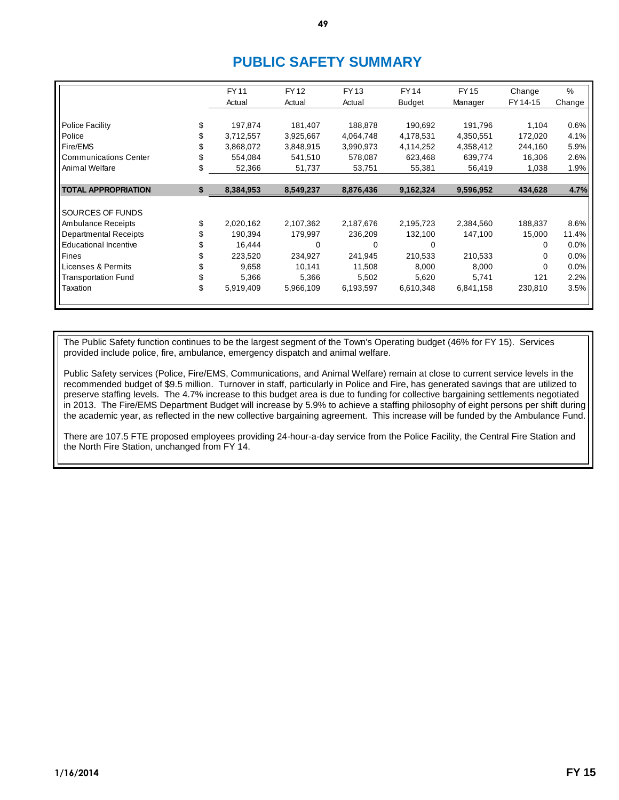# **PUBLIC SAFETY SUMMARY**

|                              | FY 11           | <b>FY12</b> | FY 13     | <b>FY14</b>   | FY 15     | Change   | $\%$    |
|------------------------------|-----------------|-------------|-----------|---------------|-----------|----------|---------|
|                              | Actual          | Actual      | Actual    | <b>Budget</b> | Manager   | FY 14-15 | Change  |
|                              |                 |             |           |               |           |          |         |
| Police Facility              | \$<br>197,874   | 181,407     | 188,878   | 190,692       | 191,796   | 1,104    | 0.6%    |
| Police                       | 3,712,557       | 3,925,667   | 4,064,748 | 4,178,531     | 4,350,551 | 172,020  | 4.1%    |
| Fire/EMS                     | \$<br>3,868,072 | 3,848,915   | 3,990,973 | 4,114,252     | 4,358,412 | 244,160  | 5.9%    |
| <b>Communications Center</b> | 554,084         | 541,510     | 578,087   | 623,468       | 639,774   | 16,306   | 2.6%    |
| Animal Welfare               | \$<br>52,366    | 51,737      | 53,751    | 55,381        | 56,419    | 1,038    | 1.9%    |
|                              |                 |             |           |               |           |          |         |
| <b>TOTAL APPROPRIATION</b>   | \$<br>8,384,953 | 8,549,237   | 8,876,436 | 9,162,324     | 9,596,952 | 434,628  | 4.7%    |
|                              |                 |             |           |               |           |          |         |
| SOURCES OF FUNDS             |                 |             |           |               |           |          |         |
| Ambulance Receipts           | \$<br>2,020,162 | 2,107,362   | 2,187,676 | 2,195,723     | 2,384,560 | 188,837  | 8.6%    |
| <b>Departmental Receipts</b> | 190,394         | 179,997     | 236,209   | 132,100       | 147,100   | 15,000   | 11.4%   |
| <b>Educational Incentive</b> | \$<br>16,444    | 0           | $\Omega$  | $\Omega$      |           | 0        | 0.0%    |
| <b>Fines</b>                 | \$<br>223,520   | 234,927     | 241,945   | 210,533       | 210,533   | 0        | $0.0\%$ |
| Licenses & Permits           | 9,658           | 10,141      | 11,508    | 8,000         | 8,000     | $\Omega$ | 0.0%    |
| <b>Transportation Fund</b>   | \$<br>5,366     | 5,366       | 5,502     | 5,620         | 5,741     | 121      | 2.2%    |
| Taxation                     | \$<br>5,919,409 | 5,966,109   | 6,193,597 | 6,610,348     | 6,841,158 | 230,810  | 3.5%    |
|                              |                 |             |           |               |           |          |         |

The Public Safety function continues to be the largest segment of the Town's Operating budget (46% for FY 15). Services provided include police, fire, ambulance, emergency dispatch and animal welfare.

Public Safety services (Police, Fire/EMS, Communications, and Animal Welfare) remain at close to current service levels in the recommended budget of \$9.5 million. Turnover in staff, particularly in Police and Fire, has generated savings that are utilized to preserve staffing levels. The 4.7% increase to this budget area is due to funding for collective bargaining settlements negotiated in 2013. The Fire/EMS Department Budget will increase by 5.9% to achieve a staffing philosophy of eight persons per shift during the academic year, as reflected in the new collective bargaining agreement. This increase will be funded by the Ambulance Fund.

There are 107.5 FTE proposed employees providing 24-hour-a-day service from the Police Facility, the Central Fire Station and the North Fire Station, unchanged from FY 14.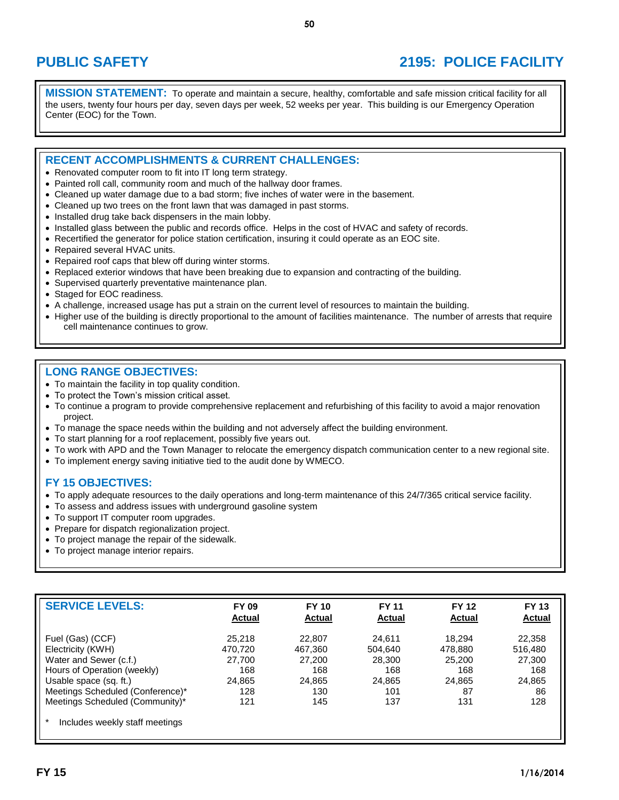# **PUBLIC SAFETY 2195: POLICE FACILITY**

**MISSION STATEMENT:** To operate and maintain a secure, healthy, comfortable and safe mission critical facility for all the users, twenty four hours per day, seven days per week, 52 weeks per year. This building is our Emergency Operation Center (EOC) for the Town.

## **RECENT ACCOMPLISHMENTS & CURRENT CHALLENGES:**

- Renovated computer room to fit into IT long term strategy.
- Painted roll call, community room and much of the hallway door frames.
- Cleaned up water damage due to a bad storm; five inches of water were in the basement.
- Cleaned up two trees on the front lawn that was damaged in past storms.
- Installed drug take back dispensers in the main lobby.
- Installed glass between the public and records office. Helps in the cost of HVAC and safety of records.
- Recertified the generator for police station certification, insuring it could operate as an EOC site.
- Repaired several HVAC units.
- Repaired roof caps that blew off during winter storms.
- Replaced exterior windows that have been breaking due to expansion and contracting of the building.
- Supervised quarterly preventative maintenance plan.
- Staged for EOC readiness.
- A challenge, increased usage has put a strain on the current level of resources to maintain the building.
- Higher use of the building is directly proportional to the amount of facilities maintenance. The number of arrests that require cell maintenance continues to grow.

## **LONG RANGE OBJECTIVES:**

- To maintain the facility in top quality condition.
- To protect the Town's mission critical asset.
- To continue a program to provide comprehensive replacement and refurbishing of this facility to avoid a major renovation project.
- To manage the space needs within the building and not adversely affect the building environment.
- To start planning for a roof replacement, possibly five years out.
- To work with APD and the Town Manager to relocate the emergency dispatch communication center to a new regional site.
- To implement energy saving initiative tied to the audit done by WMECO.

- To apply adequate resources to the daily operations and long-term maintenance of this 24/7/365 critical service facility.
- To assess and address issues with underground gasoline system
- To support IT computer room upgrades.
- Prepare for dispatch regionalization project.
- To project manage the repair of the sidewalk.
- To project manage interior repairs.

| <b>SERVICE LEVELS:</b>           | <b>FY 09</b><br><b>Actual</b> | <b>FY 10</b><br>Actual | <b>FY 11</b><br><b>Actual</b> | <b>FY 12</b><br><b>Actual</b> | <b>FY 13</b><br><b>Actual</b> |
|----------------------------------|-------------------------------|------------------------|-------------------------------|-------------------------------|-------------------------------|
| Fuel (Gas) (CCF)                 | 25.218                        | 22,807                 | 24.611                        | 18.294                        | 22,358                        |
| Electricity (KWH)                | 470.720                       | 467.360                | 504.640                       | 478.880                       | 516,480                       |
| Water and Sewer (c.f.)           | 27,700                        | 27,200                 | 28,300                        | 25,200                        | 27,300                        |
| Hours of Operation (weekly)      | 168                           | 168                    | 168                           | 168                           | 168                           |
| Usable space (sq. ft.)           | 24,865                        | 24,865                 | 24,865                        | 24,865                        | 24,865                        |
| Meetings Scheduled (Conference)* | 128                           | 130                    | 101                           | 87                            | 86                            |
| Meetings Scheduled (Community)*  | 121                           | 145                    | 137                           | 131                           | 128                           |
| Includes weekly staff meetings   |                               |                        |                               |                               |                               |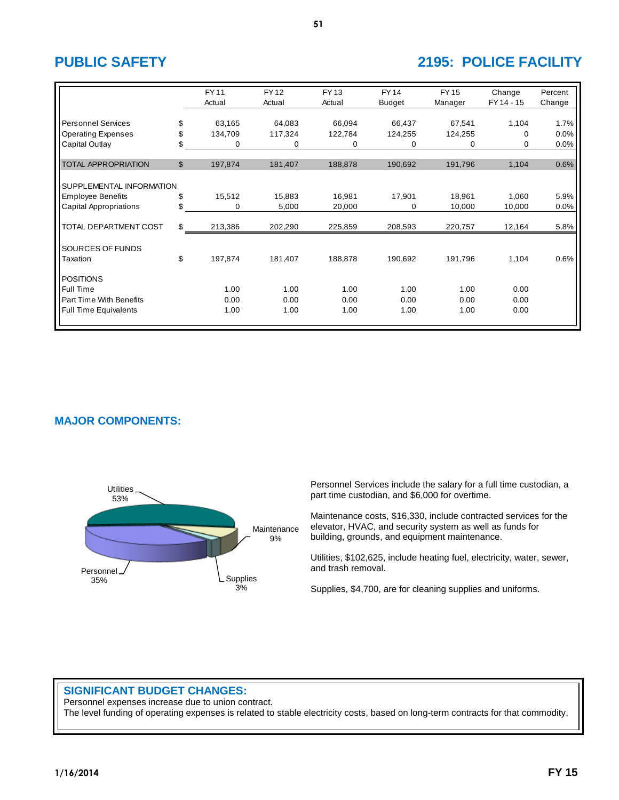# **PUBLIC SAFETY 2195: POLICE FACILITY**

|                               |                | <b>FY11</b><br>Actual | <b>FY12</b><br>Actual | <b>FY13</b><br>Actual | <b>FY14</b><br><b>Budget</b> | <b>FY15</b><br>Manager | Change<br>FY 14 - 15 | Percent<br>Change |
|-------------------------------|----------------|-----------------------|-----------------------|-----------------------|------------------------------|------------------------|----------------------|-------------------|
|                               |                |                       |                       |                       |                              |                        |                      |                   |
| <b>Personnel Services</b>     | \$             | 63,165                | 64,083                | 66,094                | 66,437                       | 67,541                 | 1,104                | 1.7%              |
| <b>Operating Expenses</b>     | \$             | 134,709               | 117,324               | 122,784               | 124,255                      | 124,255                | 0                    | 0.0%              |
| Capital Outlay                | \$             | 0                     | 0                     | 0                     | 0                            | 0                      | 0                    | 0.0%              |
|                               |                |                       |                       |                       |                              |                        |                      |                   |
| <b>TOTAL APPROPRIATION</b>    | $\mathfrak{L}$ | 197,874               | 181,407               | 188,878               | 190,692                      | 191,796                | 1,104                | 0.6%              |
|                               |                |                       |                       |                       |                              |                        |                      |                   |
| SUPPLEMENTAL INFORMATION      |                |                       |                       |                       |                              |                        |                      |                   |
| <b>Employee Benefits</b>      | \$             | 15,512                | 15,883                | 16,981                | 17,901                       | 18,961                 | 1,060                | 5.9%              |
| <b>Capital Appropriations</b> | \$             | 0                     | 5,000                 | 20,000                | 0                            | 10,000                 | 10,000               | 0.0%              |
| TOTAL DEPARTMENT COST         | \$             | 213,386               | 202,290               | 225,859               | 208,593                      | 220,757                | 12,164               | 5.8%              |
|                               |                |                       |                       |                       |                              |                        |                      |                   |
| SOURCES OF FUNDS              |                |                       |                       |                       |                              |                        |                      |                   |
| Taxation                      | \$             | 197,874               | 181,407               | 188,878               | 190,692                      | 191,796                | 1,104                | 0.6%              |
| <b>POSITIONS</b>              |                |                       |                       |                       |                              |                        |                      |                   |
| <b>Full Time</b>              |                | 1.00                  | 1.00                  | 1.00                  | 1.00                         | 1.00                   | 0.00                 |                   |
| Part Time With Benefits       |                | 0.00                  | 0.00                  | 0.00                  | 0.00                         | 0.00                   | 0.00                 |                   |
| <b>Full Time Equivalents</b>  |                | 1.00                  | 1.00                  | 1.00                  | 1.00                         | 1.00                   | 0.00                 |                   |
|                               |                |                       |                       |                       |                              |                        |                      |                   |

# **MAJOR COMPONENTS:**



Personnel Services include the salary for a full time custodian, a part time custodian, and \$6,000 for overtime.

Maintenance costs, \$16,330, include contracted services for the elevator, HVAC, and security system as well as funds for building, grounds, and equipment maintenance.

Utilities, \$102,625, include heating fuel, electricity, water, sewer, and trash removal.

Supplies, \$4,700, are for cleaning supplies and uniforms.

# **SIGNIFICANT BUDGET CHANGES:**

Personnel expenses increase due to union contract. The level funding of operating expenses is related to stable electricity costs, based on long-term contracts for that commodity.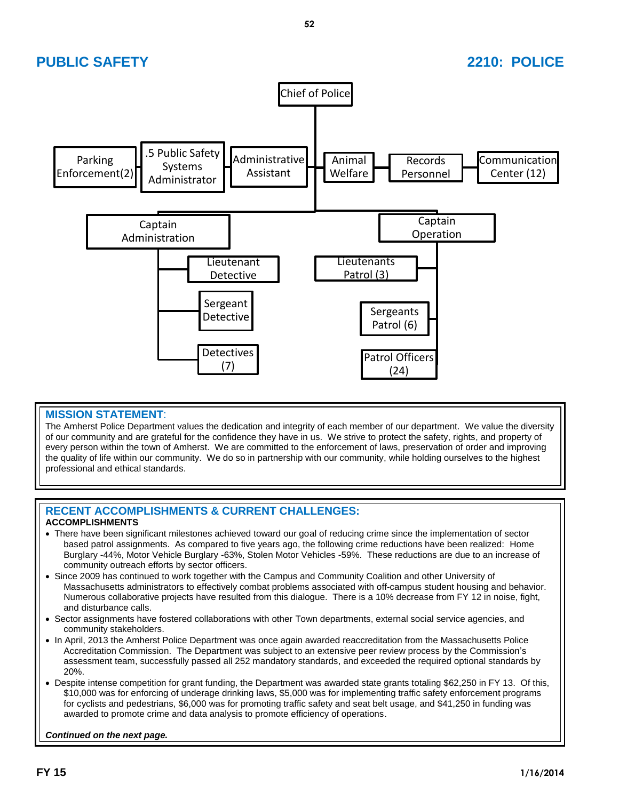# **PUBLIC SAFETY 2210: POLICE**



# **MISSION STATEMENT**:

The Amherst Police Department values the dedication and integrity of each member of our department. We value the diversity of our community and are grateful for the confidence they have in us. We strive to protect the safety, rights, and property of every person within the town of Amherst. We are committed to the enforcement of laws, preservation of order and improving the quality of life within our community. We do so in partnership with our community, while holding ourselves to the highest professional and ethical standards.

## **RECENT ACCOMPLISHMENTS & CURRENT CHALLENGES: ACCOMPLISHMENTS**

- There have been significant milestones achieved toward our goal of reducing crime since the implementation of sector based patrol assignments. As compared to five years ago, the following crime reductions have been realized: Home Burglary -44%, Motor Vehicle Burglary -63%, Stolen Motor Vehicles -59%. These reductions are due to an increase of community outreach efforts by sector officers.
- Since 2009 has continued to work together with the Campus and Community Coalition and other University of Massachusetts administrators to effectively combat problems associated with off-campus student housing and behavior. Numerous collaborative projects have resulted from this dialogue. There is a 10% decrease from FY 12 in noise, fight, and disturbance calls.
- Sector assignments have fostered collaborations with other Town departments, external social service agencies, and community stakeholders.
- In April, 2013 the Amherst Police Department was once again awarded reaccreditation from the Massachusetts Police Accreditation Commission. The Department was subject to an extensive peer review process by the Commission's assessment team, successfully passed all 252 mandatory standards, and exceeded the required optional standards by 20%.
- Despite intense competition for grant funding, the Department was awarded state grants totaling \$62,250 in FY 13. Of this, \$10,000 was for enforcing of underage drinking laws, \$5,000 was for implementing traffic safety enforcement programs for cyclists and pedestrians, \$6,000 was for promoting traffic safety and seat belt usage, and \$41,250 in funding was awarded to promote crime and data analysis to promote efficiency of operations.

*Continued on the next page.*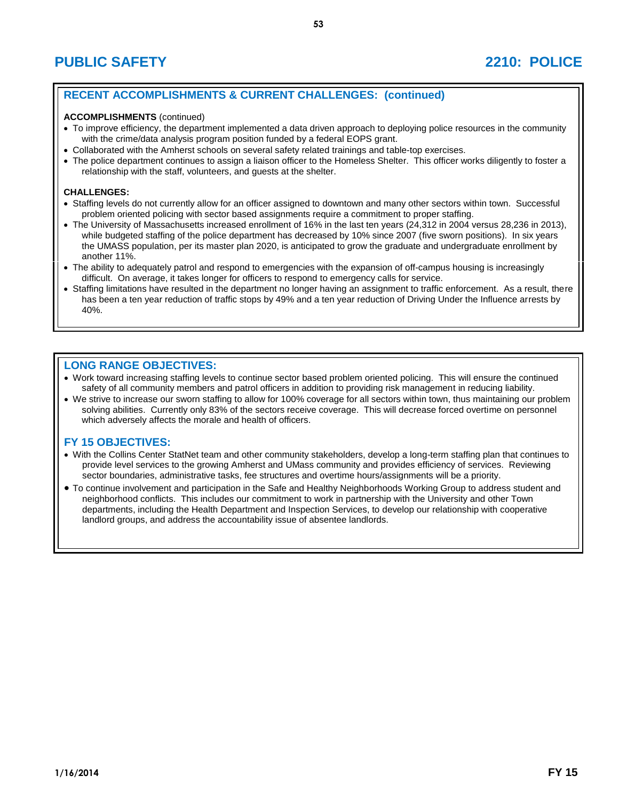# **RECENT ACCOMPLISHMENTS & CURRENT CHALLENGES: (continued)**

### **ACCOMPLISHMENTS** (continued)

- To improve efficiency, the department implemented a data driven approach to deploying police resources in the community with the crime/data analysis program position funded by a federal EOPS grant.
- Collaborated with the Amherst schools on several safety related trainings and table-top exercises.
- The police department continues to assign a liaison officer to the Homeless Shelter. This officer works diligently to foster a relationship with the staff, volunteers, and guests at the shelter.

### **CHALLENGES:**

- Staffing levels do not currently allow for an officer assigned to downtown and many other sectors within town. Successful problem oriented policing with sector based assignments require a commitment to proper staffing.
- The University of Massachusetts increased enrollment of 16% in the last ten years (24,312 in 2004 versus 28,236 in 2013), while budgeted staffing of the police department has decreased by 10% since 2007 (five sworn positions). In six years the UMASS population, per its master plan 2020, is anticipated to grow the graduate and undergraduate enrollment by another 11%.
- The ability to adequately patrol and respond to emergencies with the expansion of off-campus housing is increasingly difficult. On average, it takes longer for officers to respond to emergency calls for service.
- Staffing limitations have resulted in the department no longer having an assignment to traffic enforcement. As a result, there has been a ten year reduction of traffic stops by 49% and a ten year reduction of Driving Under the Influence arrests by 40%.

## **LONG RANGE OBJECTIVES:**

- Work toward increasing staffing levels to continue sector based problem oriented policing. This will ensure the continued safety of all community members and patrol officers in addition to providing risk management in reducing liability.
- We strive to increase our sworn staffing to allow for 100% coverage for all sectors within town, thus maintaining our problem solving abilities. Currently only 83% of the sectors receive coverage. This will decrease forced overtime on personnel which adversely affects the morale and health of officers.

- With the Collins Center StatNet team and other community stakeholders, develop a long-term staffing plan that continues to provide level services to the growing Amherst and UMass community and provides efficiency of services. Reviewing sector boundaries, administrative tasks, fee structures and overtime hours/assignments will be a priority.
- To continue involvement and participation in the Safe and Healthy Neighborhoods Working Group to address student and neighborhood conflicts. This includes our commitment to work in partnership with the University and other Town departments, including the Health Department and Inspection Services, to develop our relationship with cooperative landlord groups, and address the accountability issue of absentee landlords.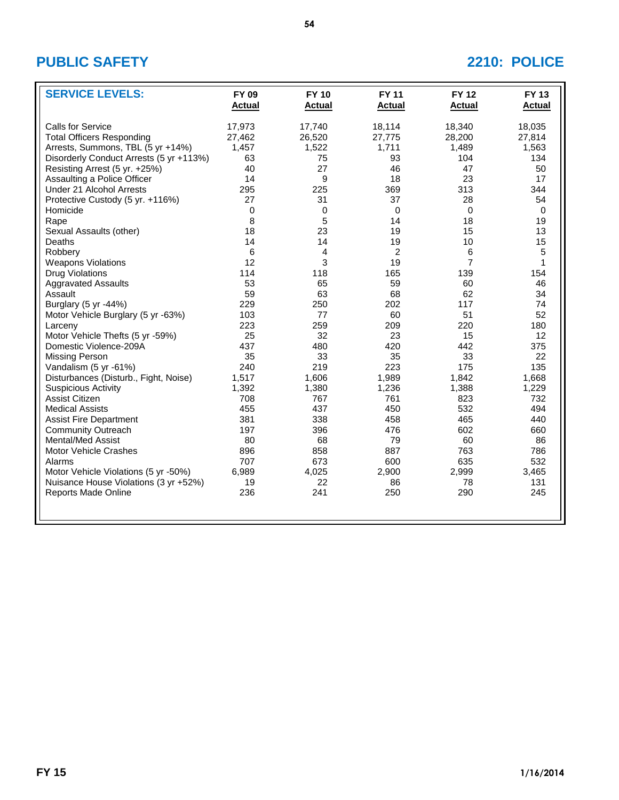# **PUBLIC SAFETY 2210: POLICE**

| <b>SERVICE LEVELS:</b>                  | <b>FY 09</b><br><b>Actual</b> | <b>FY 10</b><br><b>Actual</b> | <b>FY 11</b><br><b>Actual</b> | <b>FY 12</b><br><b>Actual</b> | <b>FY 13</b><br><b>Actual</b> |
|-----------------------------------------|-------------------------------|-------------------------------|-------------------------------|-------------------------------|-------------------------------|
| Calls for Service                       | 17,973                        | 17,740                        | 18,114                        | 18,340                        | 18,035                        |
| <b>Total Officers Responding</b>        | 27,462                        | 26,520                        | 27,775                        | 28,200                        | 27,814                        |
| Arrests, Summons, TBL (5 yr +14%)       | 1,457                         | 1,522                         | 1,711                         | 1,489                         | 1,563                         |
| Disorderly Conduct Arrests (5 yr +113%) | 63                            | 75                            | 93                            | 104                           | 134                           |
| Resisting Arrest (5 yr. +25%)           | 40                            | 27                            | 46                            | 47                            | 50                            |
| Assaulting a Police Officer             | 14                            | 9                             | 18                            | 23                            | 17                            |
| Under 21 Alcohol Arrests                | 295                           | 225                           | 369                           | 313                           | 344                           |
| Protective Custody (5 yr. +116%)        | 27                            | 31                            | 37                            | 28                            | 54                            |
| Homicide                                | 0                             | $\mathbf 0$                   | $\Omega$                      | $\mathbf 0$                   | $\Omega$                      |
| Rape                                    | 8                             | 5                             | 14                            | 18                            | 19                            |
| Sexual Assaults (other)                 | 18                            | 23                            | 19                            | 15                            | 13                            |
| Deaths                                  | 14                            | 14                            |                               | 10                            | 15                            |
| Robbery                                 | 6                             | 4                             | 19<br>2                       | 6                             | 5                             |
|                                         | 12                            | 3                             | 19                            | $\overline{7}$                | $\mathbf{1}$                  |
| <b>Weapons Violations</b>               | 114                           | 118                           | 165                           | 139                           | 154                           |
| <b>Drug Violations</b>                  |                               |                               |                               |                               |                               |
| <b>Aggravated Assaults</b>              | 53                            | 65                            | 59                            | 60                            | 46                            |
| Assault                                 | 59                            | 63                            | 68                            | 62                            | 34                            |
| Burglary (5 yr -44%)                    | 229                           | 250                           | 202                           | 117                           | 74                            |
| Motor Vehicle Burglary (5 yr -63%)      | 103                           | 77                            | 60                            | 51                            | 52                            |
| Larceny                                 | 223                           | 259                           | 209                           | 220                           | 180                           |
| Motor Vehicle Thefts (5 yr -59%)        | 25                            | 32                            | 23                            | 15                            | 12                            |
| Domestic Violence-209A                  | 437                           | 480                           | 420                           | 442                           | 375                           |
| Missing Person                          | 35                            | 33                            | 35                            | 33                            | 22                            |
| Vandalism (5 yr -61%)                   | 240                           | 219                           | 223                           | 175                           | 135                           |
| Disturbances (Disturb., Fight, Noise)   | 1,517                         | 1,606                         | 1,989                         | 1,842                         | 1,668                         |
| <b>Suspicious Activity</b>              | 1,392                         | 1,380                         | 1,236                         | 1,388                         | 1,229                         |
| Assist Citizen                          | 708                           | 767                           | 761                           | 823                           | 732                           |
| <b>Medical Assists</b>                  | 455                           | 437                           | 450                           | 532                           | 494                           |
| <b>Assist Fire Department</b>           | 381                           | 338                           | 458                           | 465                           | 440                           |
| <b>Community Outreach</b>               | 197                           | 396                           | 476                           | 602                           | 660                           |
| <b>Mental/Med Assist</b>                | 80                            | 68                            | 79                            | 60                            | 86                            |
| Motor Vehicle Crashes                   | 896                           | 858                           | 887                           | 763                           | 786                           |
| Alarms                                  | 707                           | 673                           | 600                           | 635                           | 532                           |
| Motor Vehicle Violations (5 yr -50%)    | 6,989                         | 4,025                         | 2,900                         | 2,999                         | 3,465                         |
| Nuisance House Violations (3 yr +52%)   | 19                            | 22                            | 86                            | 78                            | 131                           |
| <b>Reports Made Online</b>              | 236                           | 241                           | 250                           | 290                           | 245                           |
|                                         |                               |                               |                               |                               |                               |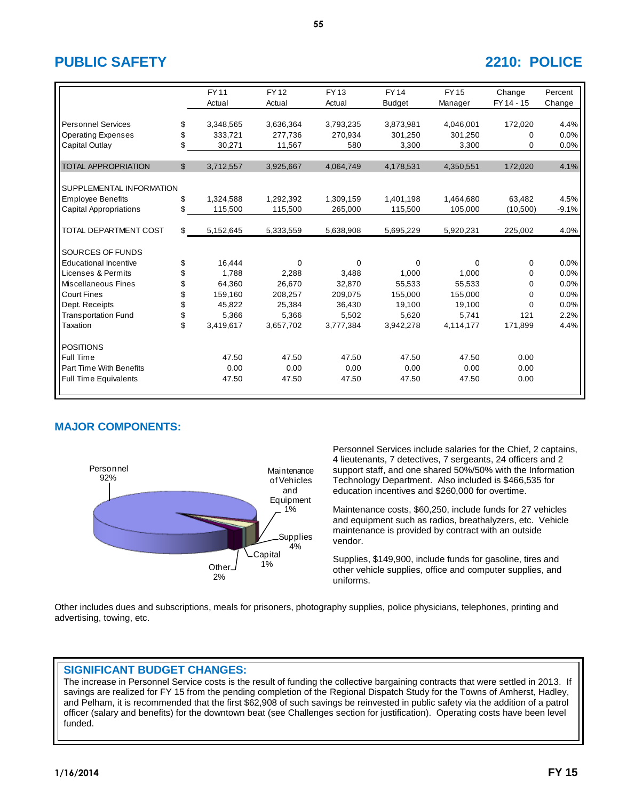# **PUBLIC SAFETY 2210: POLICE**

|                              |                | <b>FY11</b> | <b>FY12</b> | FY 13     | <b>FY14</b>   | <b>FY15</b> | Change     | Percent |
|------------------------------|----------------|-------------|-------------|-----------|---------------|-------------|------------|---------|
|                              |                | Actual      | Actual      | Actual    | <b>Budget</b> | Manager     | FY 14 - 15 | Change  |
|                              |                |             |             |           |               |             |            |         |
| <b>Personnel Services</b>    | \$             | 3,348,565   | 3,636,364   | 3,793,235 | 3,873,981     | 4,046,001   | 172,020    | 4.4%    |
| <b>Operating Expenses</b>    | \$             | 333,721     | 277.736     | 270,934   | 301,250       | 301,250     | 0          | 0.0%    |
| Capital Outlay               | \$             | 30,271      | 11,567      | 580       | 3,300         | 3,300       | 0          | 0.0%    |
|                              |                |             |             |           |               |             |            |         |
| <b>TOTAL APPROPRIATION</b>   | $\mathfrak{S}$ | 3,712,557   | 3,925,667   | 4,064,749 | 4,178,531     | 4,350,551   | 172,020    | 4.1%    |
|                              |                |             |             |           |               |             |            |         |
| SUPPLEMENTAL INFORMATION     |                |             |             |           |               |             |            |         |
| <b>Employee Benefits</b>     | \$             | 1,324,588   | 1,292,392   | 1,309,159 | 1,401,198     | 1,464,680   | 63,482     | 4.5%    |
| Capital Appropriations       | \$             | 115,500     | 115,500     | 265,000   | 115,500       | 105,000     | (10,500)   | $-9.1%$ |
|                              |                |             |             |           |               |             |            |         |
| TOTAL DEPARTMENT COST        | \$             | 5,152,645   | 5,333,559   | 5,638,908 | 5,695,229     | 5,920,231   | 225,002    | 4.0%    |
|                              |                |             |             |           |               |             |            |         |
| SOURCES OF FUNDS             |                |             |             |           |               |             |            |         |
| <b>Educational Incentive</b> | \$             | 16,444      | $\Omega$    | $\Omega$  | $\Omega$      | $\Omega$    | 0          | 0.0%    |
| Licenses & Permits           | \$             | 1,788       | 2,288       | 3,488     | 1.000         | 1,000       | 0          | 0.0%    |
| Miscellaneous Fines          | \$             | 64,360      | 26,670      | 32,870    | 55,533        | 55,533      | 0          | 0.0%    |
| <b>Court Fines</b>           | \$             | 159,160     | 208,257     | 209,075   | 155,000       | 155,000     | 0          | 0.0%    |
| Dept. Receipts               | \$             | 45,822      | 25,384      | 36,430    | 19,100        | 19,100      | 0          | 0.0%    |
| <b>Transportation Fund</b>   | \$             | 5,366       | 5,366       | 5,502     | 5.620         | 5,741       | 121        | 2.2%    |
| Taxation                     | \$             | 3,419,617   | 3,657,702   | 3,777,384 | 3,942,278     | 4,114,177   | 171,899    | 4.4%    |
|                              |                |             |             |           |               |             |            |         |
| <b>POSITIONS</b>             |                |             |             |           |               |             |            |         |
| Full Time                    |                | 47.50       | 47.50       | 47.50     | 47.50         | 47.50       | 0.00       |         |
| Part Time With Benefits      |                | 0.00        | 0.00        | 0.00      | 0.00          | 0.00        | 0.00       |         |
| <b>Full Time Equivalents</b> |                | 47.50       | 47.50       | 47.50     | 47.50         | 47.50       | 0.00       |         |
|                              |                |             |             |           |               |             |            |         |

# **MAJOR COMPONENTS:**



Personnel Services include salaries for the Chief, 2 captains, 4 lieutenants, 7 detectives, 7 sergeants, 24 officers and 2 support staff, and one shared 50%/50% with the Information Technology Department. Also included is \$466,535 for education incentives and \$260,000 for overtime.

Maintenance costs, \$60,250, include funds for 27 vehicles and equipment such as radios, breathalyzers, etc. Vehicle maintenance is provided by contract with an outside vendor.

Supplies, \$149,900, include funds for gasoline, tires and other vehicle supplies, office and computer supplies, and uniforms.

Other includes dues and subscriptions, meals for prisoners, photography supplies, police physicians, telephones, printing and advertising, towing, etc.

## **SIGNIFICANT BUDGET CHANGES:**

The increase in Personnel Service costs is the result of funding the collective bargaining contracts that were settled in 2013. If savings are realized for FY 15 from the pending completion of the Regional Dispatch Study for the Towns of Amherst, Hadley, and Pelham, it is recommended that the first \$62,908 of such savings be reinvested in public safety via the addition of a patrol officer (salary and benefits) for the downtown beat (see Challenges section for justification). Operating costs have been level funded.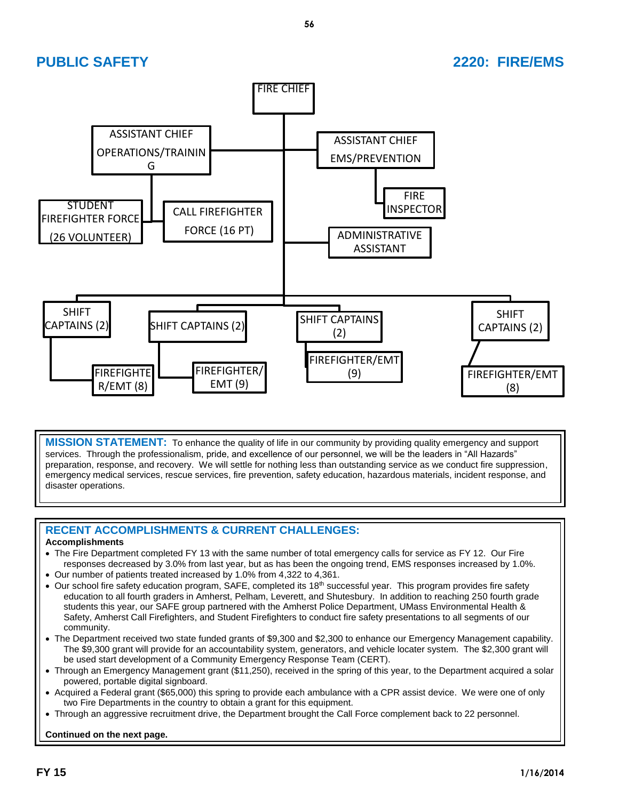### **PUBLIC SAFETY 2220: FIRE/EMS** FIRE CHIEF SHIFT CAPTAINS (2) FIREFIGHTE R/EMT (8) SHIFT CAPTAINS (2) FIREFIGHTER/ EMT (9) SHIFT CAPTAINS (2) FIREFIGHTER/EMT (9) SHIFT CAPTAINS (2) FIREFIGHTER/EMT (8) ASSISTANT CHIEF OPERATIONS/TRAININ G CALL FIREFIGHTER FORCE (16 PT) STUDENT FIREFIGHTER FORCE (26 VOLUNTEER) ASSISTANT CHIEF EMS/PREVENTION FIRE INSPECTOR ADMINISTRATIVE ASSISTANT

**MISSION STATEMENT:** To enhance the quality of life in our community by providing quality emergency and support services. Through the professionalism, pride, and excellence of our personnel, we will be the leaders in "All Hazards" preparation, response, and recovery. We will settle for nothing less than outstanding service as we conduct fire suppression, emergency medical services, rescue services, fire prevention, safety education, hazardous materials, incident response, and disaster operations.

# **RECENT ACCOMPLISHMENTS & CURRENT CHALLENGES:**

## **Accomplishments**

- The Fire Department completed FY 13 with the same number of total emergency calls for service as FY 12. Our Fire responses decreased by 3.0% from last year, but as has been the ongoing trend, EMS responses increased by 1.0%.
- Our number of patients treated increased by 1.0% from 4,322 to 4,361.
- Our school fire safety education program, SAFE, completed its 18<sup>th</sup> successful year. This program provides fire safety education to all fourth graders in Amherst, Pelham, Leverett, and Shutesbury. In addition to reaching 250 fourth grade students this year, our SAFE group partnered with the Amherst Police Department, UMass Environmental Health & Safety, Amherst Call Firefighters, and Student Firefighters to conduct fire safety presentations to all segments of our community.
- The Department received two state funded grants of \$9,300 and \$2,300 to enhance our Emergency Management capability. The \$9,300 grant will provide for an accountability system, generators, and vehicle locater system. The \$2,300 grant will be used start development of a Community Emergency Response Team (CERT).
- Through an Emergency Management grant (\$11,250), received in the spring of this year, to the Department acquired a solar powered, portable digital signboard.
- Acquired a Federal grant (\$65,000) this spring to provide each ambulance with a CPR assist device. We were one of only two Fire Departments in the country to obtain a grant for this equipment.
- Through an aggressive recruitment drive, the Department brought the Call Force complement back to 22 personnel.

**Continued on the next page.**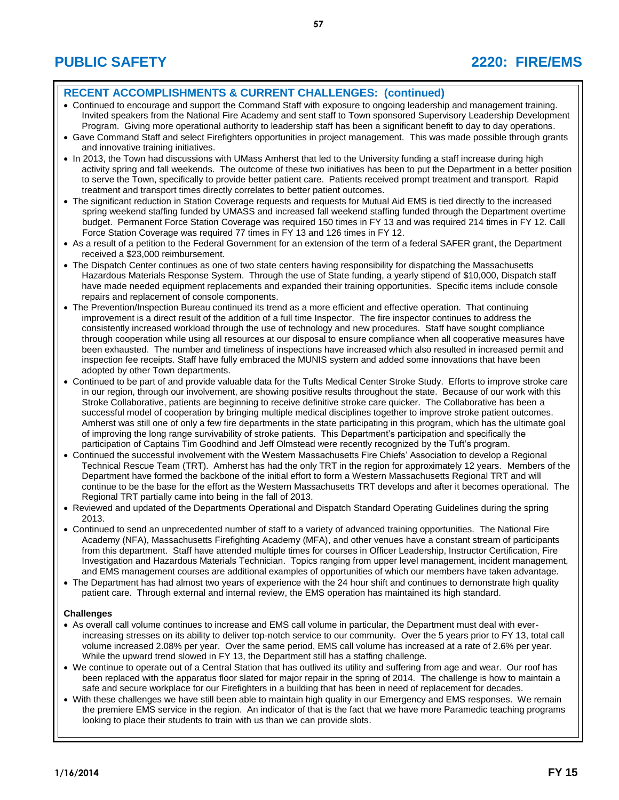# **RECENT ACCOMPLISHMENTS & CURRENT CHALLENGES: (continued)**

- Continued to encourage and support the Command Staff with exposure to ongoing leadership and management training. Invited speakers from the National Fire Academy and sent staff to Town sponsored Supervisory Leadership Development Program. Giving more operational authority to leadership staff has been a significant benefit to day to day operations.
- Gave Command Staff and select Firefighters opportunities in project management. This was made possible through grants and innovative training initiatives.
- In 2013, the Town had discussions with UMass Amherst that led to the University funding a staff increase during high activity spring and fall weekends. The outcome of these two initiatives has been to put the Department in a better position to serve the Town, specifically to provide better patient care. Patients received prompt treatment and transport. Rapid treatment and transport times directly correlates to better patient outcomes.
- The significant reduction in Station Coverage requests and requests for Mutual Aid EMS is tied directly to the increased spring weekend staffing funded by UMASS and increased fall weekend staffing funded through the Department overtime budget. Permanent Force Station Coverage was required 150 times in FY 13 and was required 214 times in FY 12. Call Force Station Coverage was required 77 times in FY 13 and 126 times in FY 12.
- As a result of a petition to the Federal Government for an extension of the term of a federal SAFER grant, the Department received a \$23,000 reimbursement.
- The Dispatch Center continues as one of two state centers having responsibility for dispatching the Massachusetts Hazardous Materials Response System. Through the use of State funding, a yearly stipend of \$10,000, Dispatch staff have made needed equipment replacements and expanded their training opportunities. Specific items include console repairs and replacement of console components.
- The Prevention/Inspection Bureau continued its trend as a more efficient and effective operation. That continuing improvement is a direct result of the addition of a full time Inspector. The fire inspector continues to address the consistently increased workload through the use of technology and new procedures. Staff have sought compliance through cooperation while using all resources at our disposal to ensure compliance when all cooperative measures have been exhausted. The number and timeliness of inspections have increased which also resulted in increased permit and inspection fee receipts. Staff have fully embraced the MUNIS system and added some innovations that have been adopted by other Town departments.
- Continued to be part of and provide valuable data for the Tufts Medical Center Stroke Study. Efforts to improve stroke care in our region, through our involvement, are showing positive results throughout the state. Because of our work with this Stroke Collaborative, patients are beginning to receive definitive stroke care quicker. The Collaborative has been a successful model of cooperation by bringing multiple medical disciplines together to improve stroke patient outcomes. Amherst was still one of only a few fire departments in the state participating in this program, which has the ultimate goal of improving the long range survivability of stroke patients. This Department's participation and specifically the participation of Captains Tim Goodhind and Jeff Olmstead were recently recognized by the Tuft's program.
- Continued the successful involvement with the Western Massachusetts Fire Chiefs' Association to develop a Regional Technical Rescue Team (TRT). Amherst has had the only TRT in the region for approximately 12 years. Members of the Department have formed the backbone of the initial effort to form a Western Massachusetts Regional TRT and will continue to be the base for the effort as the Western Massachusetts TRT develops and after it becomes operational. The Regional TRT partially came into being in the fall of 2013.
- Reviewed and updated of the Departments Operational and Dispatch Standard Operating Guidelines during the spring 2013.
- Continued to send an unprecedented number of staff to a variety of advanced training opportunities. The National Fire Academy (NFA), Massachusetts Firefighting Academy (MFA), and other venues have a constant stream of participants from this department. Staff have attended multiple times for courses in Officer Leadership, Instructor Certification, Fire Investigation and Hazardous Materials Technician. Topics ranging from upper level management, incident management, and EMS management courses are additional examples of opportunities of which our members have taken advantage.
- The Department has had almost two years of experience with the 24 hour shift and continues to demonstrate high quality patient care. Through external and internal review, the EMS operation has maintained its high standard.

### **Challenges**

- As overall call volume continues to increase and EMS call volume in particular, the Department must deal with everincreasing stresses on its ability to deliver top-notch service to our community. Over the 5 years prior to FY 13, total call volume increased 2.08% per year. Over the same period, EMS call volume has increased at a rate of 2.6% per year. While the upward trend slowed in FY 13, the Department still has a staffing challenge.
- We continue to operate out of a Central Station that has outlived its utility and suffering from age and wear. Our roof has been replaced with the apparatus floor slated for major repair in the spring of 2014. The challenge is how to maintain a safe and secure workplace for our Firefighters in a building that has been in need of replacement for decades.
- With these challenges we have still been able to maintain high quality in our Emergency and EMS responses. We remain the premiere EMS service in the region. An indicator of that is the fact that we have more Paramedic teaching programs looking to place their students to train with us than we can provide slots.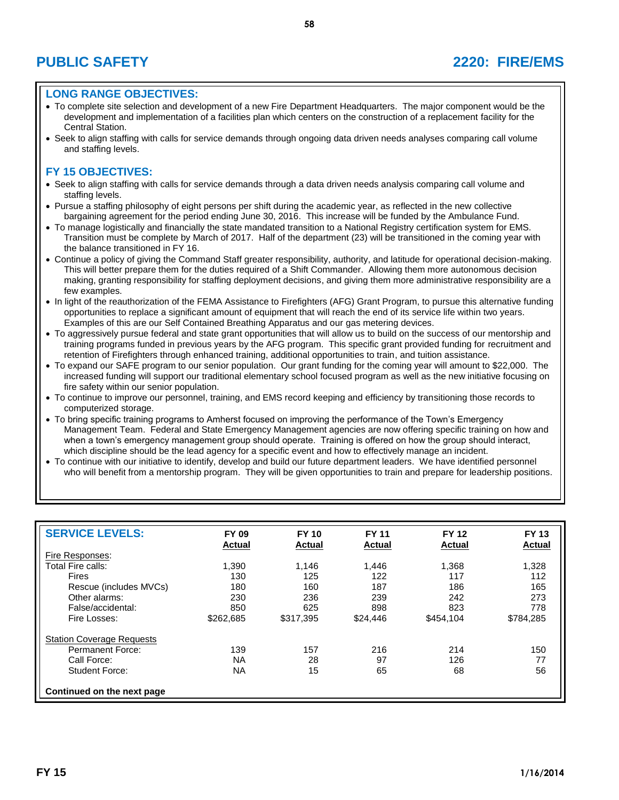# **PUBLIC SAFETY 2220: FIRE/EMS**

## **LONG RANGE OBJECTIVES:**

- To complete site selection and development of a new Fire Department Headquarters. The major component would be the development and implementation of a facilities plan which centers on the construction of a replacement facility for the Central Station.
- Seek to align staffing with calls for service demands through ongoing data driven needs analyses comparing call volume and staffing levels.

- Seek to align staffing with calls for service demands through a data driven needs analysis comparing call volume and staffing levels.
- Pursue a staffing philosophy of eight persons per shift during the academic year, as reflected in the new collective bargaining agreement for the period ending June 30, 2016. This increase will be funded by the Ambulance Fund.
- To manage logistically and financially the state mandated transition to a National Registry certification system for EMS. Transition must be complete by March of 2017. Half of the department (23) will be transitioned in the coming year with the balance transitioned in FY 16.
- Continue a policy of giving the Command Staff greater responsibility, authority, and latitude for operational decision-making. This will better prepare them for the duties required of a Shift Commander. Allowing them more autonomous decision making, granting responsibility for staffing deployment decisions, and giving them more administrative responsibility are a few examples.
- In light of the reauthorization of the FEMA Assistance to Firefighters (AFG) Grant Program, to pursue this alternative funding opportunities to replace a significant amount of equipment that will reach the end of its service life within two years. Examples of this are our Self Contained Breathing Apparatus and our gas metering devices.
- To aggressively pursue federal and state grant opportunities that will allow us to build on the success of our mentorship and training programs funded in previous years by the AFG program. This specific grant provided funding for recruitment and retention of Firefighters through enhanced training, additional opportunities to train, and tuition assistance.
- To expand our SAFE program to our senior population. Our grant funding for the coming year will amount to \$22,000. The increased funding will support our traditional elementary school focused program as well as the new initiative focusing on fire safety within our senior population.
- To continue to improve our personnel, training, and EMS record keeping and efficiency by transitioning those records to computerized storage.
- To bring specific training programs to Amherst focused on improving the performance of the Town's Emergency Management Team. Federal and State Emergency Management agencies are now offering specific training on how and when a town's emergency management group should operate. Training is offered on how the group should interact, which discipline should be the lead agency for a specific event and how to effectively manage an incident.
- To continue with our initiative to identify, develop and build our future department leaders. We have identified personnel who will benefit from a mentorship program. They will be given opportunities to train and prepare for leadership positions.

| <b>SERVICE LEVELS:</b>           | <b>FY 09</b><br><b>Actual</b> | <b>FY 10</b><br>Actual | <b>FY 11</b><br><b>Actual</b> | <b>FY 12</b><br><b>Actual</b> | <b>FY 13</b><br><b>Actual</b> |
|----------------------------------|-------------------------------|------------------------|-------------------------------|-------------------------------|-------------------------------|
| Fire Responses:                  |                               |                        |                               |                               |                               |
| Total Fire calls:                | 1,390                         | 1.146                  | 1,446                         | 1,368                         | 1,328                         |
| Fires                            | 130                           | 125                    | 122                           | 117                           | 112                           |
| Rescue (includes MVCs)           | 180                           | 160                    | 187                           | 186                           | 165                           |
| Other alarms:                    | 230                           | 236                    | 239                           | 242                           | 273                           |
| False/accidental:                | 850                           | 625                    | 898                           | 823                           | 778                           |
| Fire Losses:                     | \$262,685                     | \$317.395              | \$24,446                      | \$454,104                     | \$784,285                     |
| <b>Station Coverage Requests</b> |                               |                        |                               |                               |                               |
| Permanent Force:                 | 139                           | 157                    | 216                           | 214                           | 150                           |
| Call Force:                      | <b>NA</b>                     | 28                     | 97                            | 126                           | 77                            |
| Student Force:                   | NA                            | 15                     | 65                            | 68                            | 56                            |
| Continued on the next page       |                               |                        |                               |                               |                               |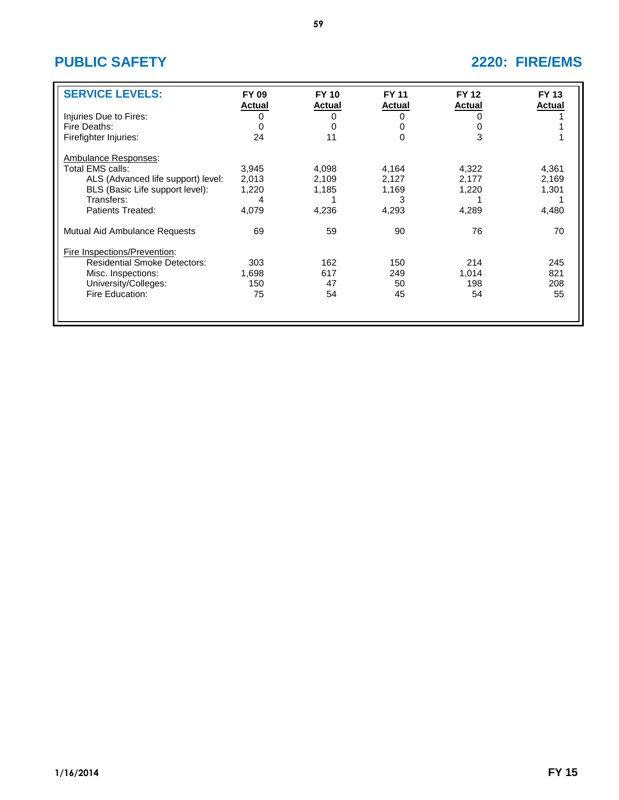# **PUBLIC SAFETY 2220: FIRE/EMS**

| <b>SERVICE LEVELS:</b>              | FY 09<br><b>Actual</b> | <b>FY 10</b><br><b>Actual</b> | <b>FY 11</b><br><b>Actual</b> | <b>FY 12</b><br><b>Actual</b> | <b>FY 13</b><br><b>Actual</b> |
|-------------------------------------|------------------------|-------------------------------|-------------------------------|-------------------------------|-------------------------------|
| Injuries Due to Fires:              |                        |                               | O                             | 0                             |                               |
| Fire Deaths:                        | 0                      |                               |                               | 0                             |                               |
| Firefighter Injuries:               | 24                     | 11                            | 0                             | 3                             |                               |
| Ambulance Responses:                |                        |                               |                               |                               |                               |
| Total EMS calls:                    | 3,945                  | 4,098                         | 4,164                         | 4,322                         | 4,361                         |
| ALS (Advanced life support) level:  | 2,013                  | 2,109                         | 2,127                         | 2,177                         | 2,169                         |
| BLS (Basic Life support level):     | 1,220                  | 1,185                         | 1,169                         | 1,220                         | 1,301                         |
| Transfers:                          | 4                      |                               | 3                             |                               |                               |
| Patients Treated:                   | 4,079                  | 4,236                         | 4,293                         | 4,289                         | 4,480                         |
| Mutual Aid Ambulance Requests       | 69                     | 59                            | 90                            | 76                            | 70                            |
| Fire Inspections/Prevention:        |                        |                               |                               |                               |                               |
| <b>Residential Smoke Detectors:</b> | 303                    | 162                           | 150                           | 214                           | 245                           |
| Misc. Inspections:                  | 1,698                  | 617                           | 249                           | 1,014                         | 821                           |
| University/Colleges:                | 150                    | 47                            | 50                            | 198                           | 208                           |
| Fire Education:                     | 75                     | 54                            | 45                            | 54                            | 55                            |
|                                     |                        |                               |                               |                               |                               |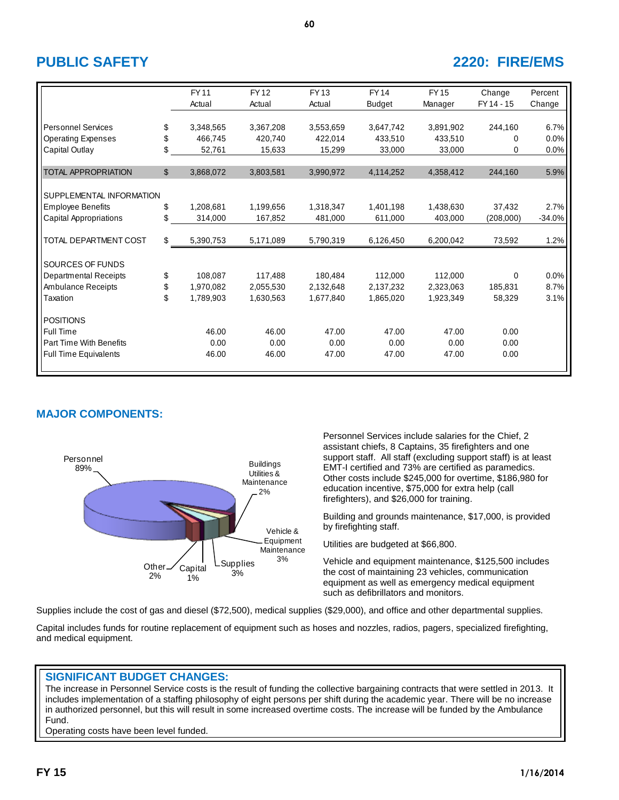# **PUBLIC SAFETY 2220: FIRE/EMS**

|                              | <b>FY11</b><br>Actual | <b>FY12</b><br>Actual | FY13<br>Actual | <b>FY14</b>   | <b>FY15</b> | Change<br>FY 14 - 15 | Percent  |
|------------------------------|-----------------------|-----------------------|----------------|---------------|-------------|----------------------|----------|
|                              |                       |                       |                | <b>Budget</b> | Manager     |                      | Change   |
| <b>Personnel Services</b>    | \$<br>3,348,565       | 3,367,208             | 3,553,659      | 3,647,742     | 3,891,902   | 244,160              | 6.7%     |
| <b>Operating Expenses</b>    | \$<br>466,745         | 420,740               | 422,014        | 433,510       | 433,510     | 0                    | 0.0%     |
| Capital Outlay               | \$<br>52,761          | 15,633                | 15,299         | 33,000        | 33,000      | 0                    | 0.0%     |
|                              |                       |                       |                |               |             |                      |          |
| <b>TOTAL APPROPRIATION</b>   | \$<br>3,868,072       | 3,803,581             | 3,990,972      | 4,114,252     | 4,358,412   | 244,160              | 5.9%     |
|                              |                       |                       |                |               |             |                      |          |
| SUPPLEMENTAL INFORMATION     |                       |                       |                |               |             |                      |          |
| <b>Employee Benefits</b>     | \$<br>1,208,681       | 1,199,656             | 1,318,347      | 1,401,198     | 1,438,630   | 37,432               | 2.7%     |
| Capital Appropriations       | \$<br>314,000         | 167,852               | 481,000        | 611,000       | 403,000     | (208,000)            | $-34.0%$ |
|                              |                       |                       |                |               |             |                      |          |
| TOTAL DEPARTMENT COST        | \$<br>5,390,753       | 5,171,089             | 5,790,319      | 6,126,450     | 6,200,042   | 73,592               | 1.2%     |
|                              |                       |                       |                |               |             |                      |          |
| SOURCES OF FUNDS             |                       |                       |                |               |             |                      |          |
| <b>Departmental Receipts</b> | \$<br>108,087         | 117,488               | 180,484        | 112,000       | 112,000     | $\Omega$             | 0.0%     |
| <b>Ambulance Receipts</b>    | \$<br>1,970,082       | 2,055,530             | 2,132,648      | 2,137,232     | 2,323,063   | 185,831              | 8.7%     |
| Taxation                     | \$<br>1,789,903       | 1,630,563             | 1,677,840      | 1,865,020     | 1,923,349   | 58,329               | 3.1%     |
| <b>POSITIONS</b>             |                       |                       |                |               |             |                      |          |
| Full Time                    | 46.00                 | 46.00                 | 47.00          | 47.00         | 47.00       | 0.00                 |          |
| Part Time With Benefits      | 0.00                  | 0.00                  | 0.00           | 0.00          | 0.00        | 0.00                 |          |
| <b>Full Time Equivalents</b> | 46.00                 | 46.00                 | 47.00          | 47.00         | 47.00       | 0.00                 |          |

**60**

# **MAJOR COMPONENTS:**



Personnel Services include salaries for the Chief, 2 assistant chiefs, 8 Captains, 35 firefighters and one support staff. All staff (excluding support staff) is at least EMT-I certified and 73% are certified as paramedics. Other costs include \$245,000 for overtime, \$186,980 for education incentive, \$75,000 for extra help (call firefighters), and \$26,000 for training.

Building and grounds maintenance, \$17,000, is provided by firefighting staff.

Utilities are budgeted at \$66,800.

Vehicle and equipment maintenance, \$125,500 includes the cost of maintaining 23 vehicles, communication equipment as well as emergency medical equipment such as defibrillators and monitors.

Supplies include the cost of gas and diesel (\$72,500), medical supplies (\$29,000), and office and other departmental supplies.

Capital includes funds for routine replacement of equipment such as hoses and nozzles, radios, pagers, specialized firefighting, and medical equipment.

## **SIGNIFICANT BUDGET CHANGES:**

The increase in Personnel Service costs is the result of funding the collective bargaining contracts that were settled in 2013. It includes implementation of a staffing philosophy of eight persons per shift during the academic year. There will be no increase in authorized personnel, but this will result in some increased overtime costs. The increase will be funded by the Ambulance Fund.

Operating costs have been level funded.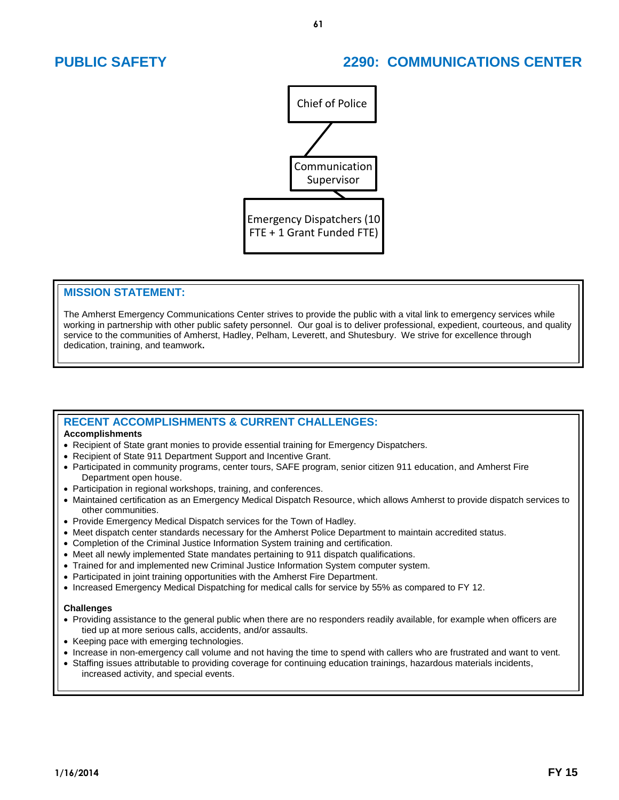# **PUBLIC SAFETY 2290: COMMUNICATIONS CENTER**



## **MISSION STATEMENT:**

The Amherst Emergency Communications Center strives to provide the public with a vital link to emergency services while working in partnership with other public safety personnel. Our goal is to deliver professional, expedient, courteous, and quality service to the communities of Amherst, Hadley, Pelham, Leverett, and Shutesbury. We strive for excellence through dedication, training, and teamwork**.** 

# **RECENT ACCOMPLISHMENTS & CURRENT CHALLENGES:**

### **Accomplishments**

- Recipient of State grant monies to provide essential training for Emergency Dispatchers.
- Recipient of State 911 Department Support and Incentive Grant.
- Participated in community programs, center tours, SAFE program, senior citizen 911 education, and Amherst Fire Department open house.
- Participation in regional workshops, training, and conferences.
- Maintained certification as an Emergency Medical Dispatch Resource, which allows Amherst to provide dispatch services to other communities.
- Provide Emergency Medical Dispatch services for the Town of Hadley.
- Meet dispatch center standards necessary for the Amherst Police Department to maintain accredited status.
- Completion of the Criminal Justice Information System training and certification.
- Meet all newly implemented State mandates pertaining to 911 dispatch qualifications.
- Trained for and implemented new Criminal Justice Information System computer system.
- Participated in joint training opportunities with the Amherst Fire Department.
- Increased Emergency Medical Dispatching for medical calls for service by 55% as compared to FY 12.

### **Challenges**

- Providing assistance to the general public when there are no responders readily available, for example when officers are tied up at more serious calls, accidents, and/or assaults.
- Keeping pace with emerging technologies.
- Increase in non-emergency call volume and not having the time to spend with callers who are frustrated and want to vent.
- Staffing issues attributable to providing coverage for continuing education trainings, hazardous materials incidents, increased activity, and special events.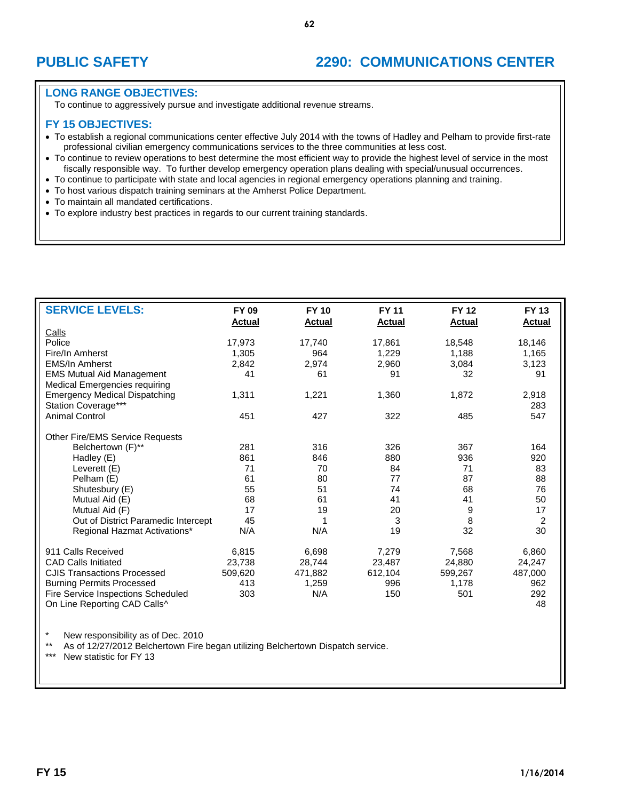# **PUBLIC SAFETY 2290: COMMUNICATIONS CENTER**

## **LONG RANGE OBJECTIVES:**

To continue to aggressively pursue and investigate additional revenue streams.

## **FY 15 OBJECTIVES:**

- To establish a regional communications center effective July 2014 with the towns of Hadley and Pelham to provide first-rate professional civilian emergency communications services to the three communities at less cost.
- To continue to review operations to best determine the most efficient way to provide the highest level of service in the most fiscally responsible way. To further develop emergency operation plans dealing with special/unusual occurrences.
- To continue to participate with state and local agencies in regional emergency operations planning and training.
- To host various dispatch training seminars at the Amherst Police Department.
- To maintain all mandated certifications.
- To explore industry best practices in regards to our current training standards.

| <b>SERVICE LEVELS:</b>                                                                   | <b>FY 09</b>  | <b>FY 10</b> | <b>FY 11</b>  | <b>FY 12</b>  | <b>FY 13</b>   |
|------------------------------------------------------------------------------------------|---------------|--------------|---------------|---------------|----------------|
| Calls                                                                                    | <b>Actual</b> | Actual       | <b>Actual</b> | <b>Actual</b> | <b>Actual</b>  |
| Police                                                                                   | 17,973        | 17,740       | 17,861        | 18,548        | 18,146         |
| Fire/In Amherst                                                                          | 1,305         | 964          | 1,229         | 1,188         | 1,165          |
| <b>EMS/In Amherst</b>                                                                    | 2,842         | 2,974        | 2,960         | 3,084         | 3,123          |
| <b>EMS Mutual Aid Management</b>                                                         | 41            | 61           | 91            | 32            | 91             |
| Medical Emergencies requiring                                                            |               |              |               |               |                |
| <b>Emergency Medical Dispatching</b>                                                     | 1,311         | 1,221        | 1,360         | 1,872         | 2,918          |
| Station Coverage***                                                                      |               |              |               |               | 283            |
| <b>Animal Control</b>                                                                    | 451           | 427          | 322           | 485           | 547            |
|                                                                                          |               |              |               |               |                |
| <b>Other Fire/EMS Service Requests</b>                                                   |               |              |               |               |                |
| Belchertown (F)**                                                                        | 281           | 316          | 326           | 367           | 164            |
| Hadley (E)                                                                               | 861           | 846          | 880           | 936           | 920            |
| Leverett (E)                                                                             | 71            | 70           | 84            | 71            | 83             |
| Pelham (E)                                                                               | 61            | 80           | 77            | 87            | 88             |
| Shutesbury (E)                                                                           | 55            | 51           | 74            | 68            | 76             |
| Mutual Aid (E)                                                                           | 68            | 61           | 41            | 41            | 50             |
| Mutual Aid (F)                                                                           | 17            | 19           | 20            | 9             | 17             |
| Out of District Paramedic Intercept                                                      | 45            | 1            | 3             | 8             | $\overline{2}$ |
| Regional Hazmat Activations*                                                             | N/A           | N/A          | 19            | 32            | 30             |
| 911 Calls Received                                                                       | 6,815         | 6,698        | 7,279         | 7,568         | 6,860          |
| <b>CAD Calls Initiated</b>                                                               | 23,738        | 28,744       | 23,487        | 24,880        | 24,247         |
| <b>CJIS Transactions Processed</b>                                                       | 509,620       | 471,882      | 612,104       | 599,267       | 487,000        |
| <b>Burning Permits Processed</b>                                                         | 413           | 1,259        | 996           | 1,178         | 962            |
| Fire Service Inspections Scheduled                                                       | 303           | N/A          | 150           | 501           | 292            |
| On Line Reporting CAD Calls^                                                             |               |              |               |               | 48             |
|                                                                                          |               |              |               |               |                |
| $\star$<br>New responsibility as of Dec. 2010                                            |               |              |               |               |                |
| $***$<br>As of 12/27/2012 Belchertown Fire began utilizing Belchertown Dispatch service. |               |              |               |               |                |

New statistic for FY 13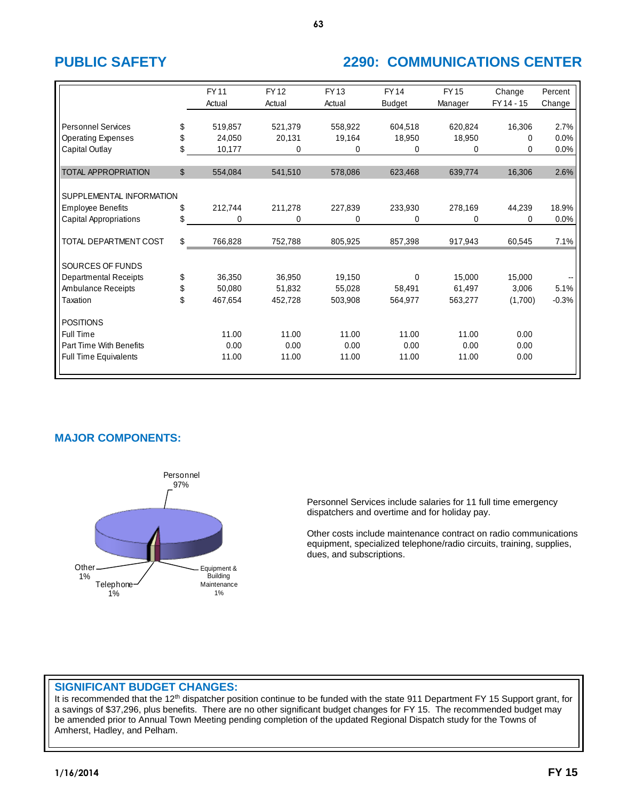# **PUBLIC SAFETY 2290: COMMUNICATIONS CENTER**

|                              | <b>FY11</b><br>Actual | <b>FY12</b><br>Actual | <b>FY13</b><br>Actual | <b>FY14</b><br><b>Budget</b> | <b>FY15</b><br>Manager | Change<br>FY 14 - 15 | Percent<br>Change |
|------------------------------|-----------------------|-----------------------|-----------------------|------------------------------|------------------------|----------------------|-------------------|
|                              |                       |                       |                       |                              |                        |                      |                   |
| <b>Personnel Services</b>    | \$<br>519,857         | 521,379               | 558,922               | 604.518                      | 620,824                | 16,306               | 2.7%              |
| <b>Operating Expenses</b>    | \$<br>24,050          | 20,131                | 19,164                | 18,950                       | 18,950                 | 0                    | 0.0%              |
| Capital Outlay               | \$<br>10,177          | 0                     | 0                     | 0                            | 0                      | 0                    | 0.0%              |
|                              |                       |                       |                       |                              |                        |                      |                   |
| <b>TOTAL APPROPRIATION</b>   | \$<br>554,084         | 541,510               | 578,086               | 623,468                      | 639,774                | 16,306               | 2.6%              |
|                              |                       |                       |                       |                              |                        |                      |                   |
| SUPPLEMENTAL INFORMATION     |                       |                       |                       |                              |                        |                      |                   |
| <b>Employee Benefits</b>     | \$<br>212,744         | 211,278               | 227,839               | 233,930                      | 278,169                | 44,239               | 18.9%             |
| Capital Appropriations       | \$<br>0               | 0                     | 0                     | 0                            | 0                      | $\Omega$             | 0.0%              |
|                              |                       |                       |                       |                              |                        |                      |                   |
| TOTAL DEPARTMENT COST        | \$<br>766,828         | 752,788               | 805,925               | 857,398                      | 917,943                | 60,545               | 7.1%              |
|                              |                       |                       |                       |                              |                        |                      |                   |
| SOURCES OF FUNDS             |                       |                       |                       |                              |                        |                      |                   |
| <b>Departmental Receipts</b> | \$<br>36,350          | 36,950                | 19,150                | 0                            | 15,000                 | 15,000               |                   |
| Ambulance Receipts           | \$<br>50,080          | 51,832                | 55,028                | 58,491                       | 61,497                 | 3,006                | 5.1%              |
| Taxation                     | \$<br>467,654         | 452,728               | 503.908               | 564.977                      | 563,277                | (1,700)              | $-0.3%$           |
|                              |                       |                       |                       |                              |                        |                      |                   |
| <b>POSITIONS</b>             |                       |                       |                       |                              |                        |                      |                   |
| Full Time                    | 11.00                 | 11.00                 | 11.00                 | 11.00                        | 11.00                  | 0.00                 |                   |
| Part Time With Benefits      | 0.00                  | 0.00                  | 0.00                  | 0.00                         | 0.00                   | 0.00                 |                   |
| <b>Full Time Equivalents</b> | 11.00                 | 11.00                 | 11.00                 | 11.00                        | 11.00                  | 0.00                 |                   |
|                              |                       |                       |                       |                              |                        |                      |                   |

# **MAJOR COMPONENTS:**



Personnel Services include salaries for 11 full time emergency dispatchers and overtime and for holiday pay.

Other costs include maintenance contract on radio communications equipment, specialized telephone/radio circuits, training, supplies, dues, and subscriptions.

## **SIGNIFICANT BUDGET CHANGES:**

It is recommended that the 12<sup>th</sup> dispatcher position continue to be funded with the state 911 Department FY 15 Support grant, for a savings of \$37,296, plus benefits. There are no other significant budget changes for FY 15. The recommended budget may be amended prior to Annual Town Meeting pending completion of the updated Regional Dispatch study for the Towns of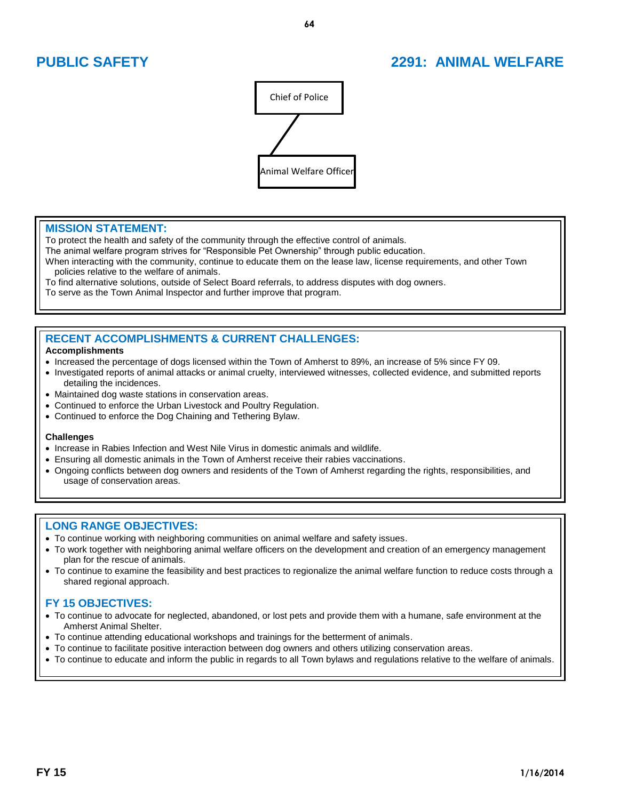# **PUBLIC SAFETY 2291: ANIMAL WELFARE**



## **MISSION STATEMENT:**

֦

To protect the health and safety of the community through the effective control of animals.

The animal welfare program strives for "Responsible Pet Ownership" through public education.

When interacting with the community, continue to educate them on the lease law, license requirements, and other Town policies relative to the welfare of animals.

To find alternative solutions, outside of Select Board referrals, to address disputes with dog owners.

To serve as the Town Animal Inspector and further improve that program.

# **RECENT ACCOMPLISHMENTS & CURRENT CHALLENGES:**

### **Accomplishments**

- Increased the percentage of dogs licensed within the Town of Amherst to 89%, an increase of 5% since FY 09.
- Investigated reports of animal attacks or animal cruelty, interviewed witnesses, collected evidence, and submitted reports detailing the incidences.
- Maintained dog waste stations in conservation areas.
- Continued to enforce the Urban Livestock and Poultry Regulation.
- Continued to enforce the Dog Chaining and Tethering Bylaw.

### **Challenges**

- Increase in Rabies Infection and West Nile Virus in domestic animals and wildlife.
- Ensuring all domestic animals in the Town of Amherst receive their rabies vaccinations.
- Ongoing conflicts between dog owners and residents of the Town of Amherst regarding the rights, responsibilities, and usage of conservation areas.

## **LONG RANGE OBJECTIVES:**

- To continue working with neighboring communities on animal welfare and safety issues.
- To work together with neighboring animal welfare officers on the development and creation of an emergency management plan for the rescue of animals.
- To continue to examine the feasibility and best practices to regionalize the animal welfare function to reduce costs through a shared regional approach.

- To continue to advocate for neglected, abandoned, or lost pets and provide them with a humane, safe environment at the Amherst Animal Shelter.
- To continue attending educational workshops and trainings for the betterment of animals.
- To continue to facilitate positive interaction between dog owners and others utilizing conservation areas.
- To continue to educate and inform the public in regards to all Town bylaws and regulations relative to the welfare of animals.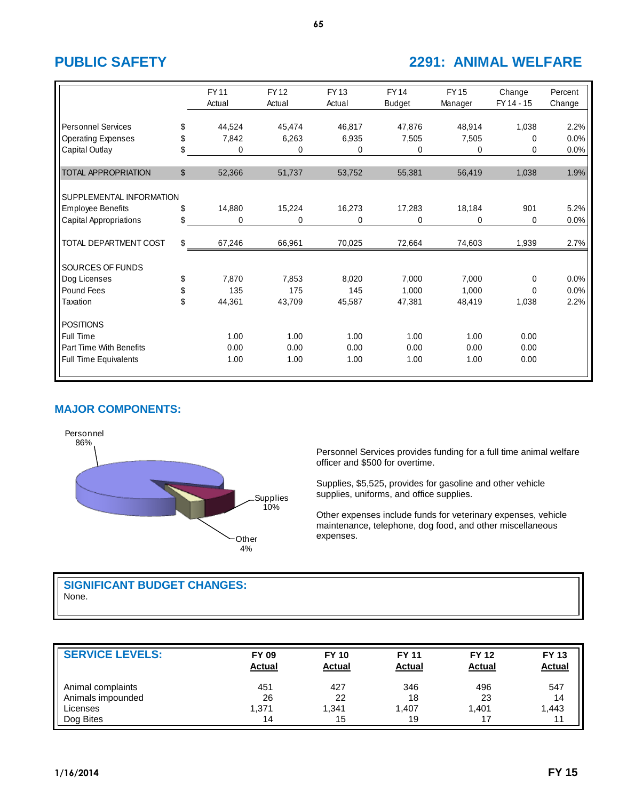# **PUBLIC SAFETY 2291: ANIMAL WELFARE**

|                              |              | <b>FY11</b><br>Actual | <b>FY12</b><br>Actual | FY 13<br>Actual | <b>FY14</b><br><b>Budget</b> | <b>FY15</b><br>Manager | Change<br>FY 14 - 15 | Percent<br>Change |
|------------------------------|--------------|-----------------------|-----------------------|-----------------|------------------------------|------------------------|----------------------|-------------------|
|                              |              |                       |                       |                 |                              |                        |                      |                   |
| <b>Personnel Services</b>    | \$           | 44,524                | 45,474                | 46,817          | 47,876                       | 48,914                 | 1,038                | 2.2%              |
| <b>Operating Expenses</b>    | \$           | 7,842                 | 6,263                 | 6,935           | 7,505                        | 7,505                  | 0                    | 0.0%              |
| Capital Outlay               | \$           | 0                     | 0                     | 0               | 0                            | 0                      | 0                    | 0.0%              |
| <b>TOTAL APPROPRIATION</b>   | $\mathbb{S}$ | 52,366                | 51,737                | 53,752          | 55,381                       | 56,419                 | 1,038                | 1.9%              |
|                              |              |                       |                       |                 |                              |                        |                      |                   |
| SUPPLEMENTAL INFORMATION     |              |                       |                       |                 |                              |                        |                      |                   |
| <b>Employee Benefits</b>     | \$           | 14,880                | 15,224                | 16,273          | 17,283                       | 18,184                 | 901                  | 5.2%              |
| Capital Appropriations       | \$           | 0                     | 0                     | 0               | 0                            | 0                      | 0                    | 0.0%              |
| TOTAL DEPARTMENT COST        | \$           | 67,246                | 66,961                | 70,025          | 72,664                       | 74,603                 | 1,939                | 2.7%              |
| SOURCES OF FUNDS             |              |                       |                       |                 |                              |                        |                      |                   |
| Dog Licenses                 | \$           | 7,870                 | 7,853                 | 8,020           | 7,000                        | 7,000                  | 0                    | 0.0%              |
| Pound Fees                   | \$           | 135                   | 175                   | 145             | 1,000                        | 1,000                  | 0                    | 0.0%              |
| Taxation                     | \$           | 44,361                | 43,709                | 45,587          | 47,381                       | 48,419                 | 1,038                | 2.2%              |
| <b>POSITIONS</b>             |              |                       |                       |                 |                              |                        |                      |                   |
| Full Time                    |              | 1.00                  | 1.00                  | 1.00            | 1.00                         | 1.00                   | 0.00                 |                   |
| Part Time With Benefits      |              | 0.00                  | 0.00                  | 0.00            | 0.00                         | 0.00                   | 0.00                 |                   |
| <b>Full Time Equivalents</b> |              | 1.00                  | 1.00                  | 1.00            | 1.00                         | 1.00                   | 0.00                 |                   |

# **MAJOR COMPONENTS:**



Personnel Services provides funding for a full time animal welfare officer and \$500 for overtime.

Supplies, \$5,525, provides for gasoline and other vehicle supplies, uniforms, and office supplies.

Other expenses include funds for veterinary expenses, vehicle maintenance, telephone, dog food, and other miscellaneous expenses.

# **SIGNIFICANT BUDGET CHANGES:** None.

| <b>SERVICE LEVELS:</b> | <b>FY 09</b><br><b>Actual</b> | <b>FY 10</b><br><b>Actual</b> | <b>FY 11</b><br><b>Actual</b> | <b>FY 12</b><br><b>Actual</b> | <b>FY 13</b><br><b>Actual</b> |
|------------------------|-------------------------------|-------------------------------|-------------------------------|-------------------------------|-------------------------------|
| Animal complaints      | 451                           | 427                           | 346                           | 496                           | 547                           |
| Animals impounded      | 26                            | 22                            | 18                            | 23                            | 14                            |
| Licenses               | 1,371                         | 1,341                         | 1.407                         | 1.401                         | 1,443                         |
| Dog Bites              | 14                            | 15                            | 19                            |                               | 11                            |